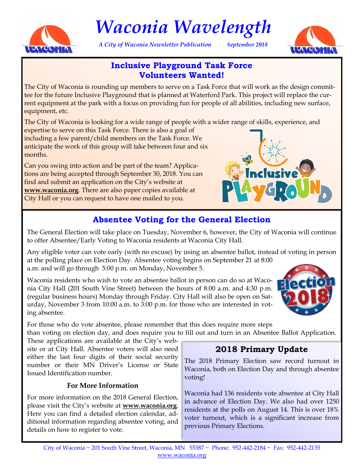

# *Waconia Wavelength*

*A City of Waconia Newsletter Publication September 2018*



### **Inclusive Playground Task Force Volunteers Wanted!**

The City of Waconia is rounding up members to serve on a Task Force that will work as the design committee for the future Inclusive Playground that is planned at Waterford Park. This project will replace the current equipment at the park with a focus on providing fun for people of all abilities, including new surface, equipment, etc.

The City of Waconia is looking for a wide range of people with a wider range of skills, experience, and

expertise to serve on this Task Force. There is also a goal of including a few parent/child members on the Task Force. We anticipate the work of this group will take between four and six months.

Can you swing into action and be part of the team? Applications are being accepted through September 30, 2018. You can find and submit an application on the City's website at **www.waconia.org**. There are also paper copies available at City Hall or you can request to have one mailed to you.



# **Absentee Voting for the General Election**

The General Election will take place on Tuesday, November 6, however, the City of Waconia will continue to offer Absentee/Early Voting to Waconia residents at Waconia City Hall.

Any eligible voter can vote early (with no excuse) by using an absentee ballot, instead of voting in person at the polling place on Election Day. Absentee voting begins on September 21 at 8:00 a.m. and will go through 5:00 p.m. on Monday, November 5.

Waconia residents who wish to vote an absentee ballot in person can do so at Waconia City Hall (201 South Vine Street) between the hours of 8:00 a.m. and 4:30 p.m. (regular business hours) Monday through Friday. City Hall will also be open on Saturday, November 3 from 10:00 a.m. to 3:00 p.m. for those who are interested in voting absentee.



For those who do vote absentee, please remember that this does require more steps than voting on election day, and does require you to fill out and turn in an Absentee Ballot Application.

These applications are available at the City's website or at City Hall. Absentee voters will also need either the last four digits of their social security number or their MN Driver's License or State Issued Identification number.

#### **For More Information**

For more information on the 2018 General Election, please visit the City's website at **www.waconia.org**. Here you can find a detailed election calendar, additional information regarding absentee voting, and details on how to register to vote.

## **2018 Primary Update**

The 2018 Primary Election saw record turnout in Waconia, both on Election Day and through absentee voting!

Waconia had 136 residents vote absentee at City Hall in advance of Election Day. We also had over 1250 residents at the polls on August 14. This is over 18% voter turnout, which is a significant increase from previous Primary Elections.